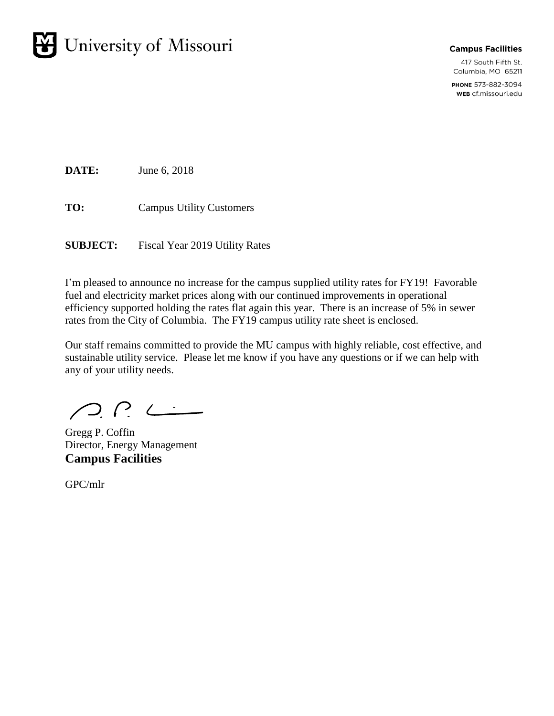

#### **Campus Facilities**

417 South Fifth St. Columbia, MO 65211

PHONE 573-882-3094 WEB cf.missouri.edu

**DATE:** June 6, 2018

**TO:** Campus Utility Customers

**SUBJECT:** Fiscal Year 2019 Utility Rates

I'm pleased to announce no increase for the campus supplied utility rates for FY19! Favorable fuel and electricity market prices along with our continued improvements in operational efficiency supported holding the rates flat again this year. There is an increase of 5% in sewer rates from the City of Columbia. The FY19 campus utility rate sheet is enclosed.

Our staff remains committed to provide the MU campus with highly reliable, cost effective, and sustainable utility service. Please let me know if you have any questions or if we can help with any of your utility needs.

 $\bigcap_{i=1}^n \bigcap_{i=1}^n \bigcup_{i=1}^n$ 

Gregg P. Coffin Director, Energy Management **Campus Facilities** 

GPC/mlr